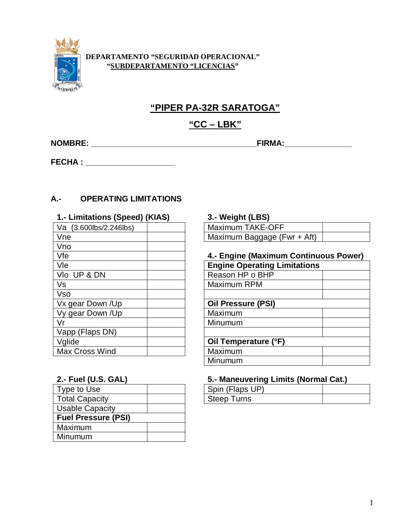

### **DEPARTAMENTO "SEGURIDAD OPERACIONAL" "SUBDEPARTAMENTO "LICENCIAS"**

# **"PIPER PA-32R SARATOGA"**

## **"CC – LBK"**

**NOMBRE: \_\_\_\_\_\_\_\_\_\_\_\_\_\_\_\_\_\_\_\_\_\_\_\_\_\_\_\_\_\_\_\_\_\_\_\_\_FIRMA:\_\_\_\_\_\_\_\_\_\_\_\_\_\_\_**

**FECHA : \_\_\_\_\_\_\_\_\_\_\_\_\_\_\_\_\_\_\_\_**

## **A.- OPERATING LIMITATIONS**

| 1.- Limitations (Speed) (KIAS) | 3.- Weight (LBS)                    |
|--------------------------------|-------------------------------------|
| Va (3.600lbs/2.246lbs)         | <b>Maximum TAKE-OFF</b>             |
| Vne                            | Maximum Baggage (Fwr + Aft)         |
| Vno                            |                                     |
| Vfe                            | 4.- Engine (Maximum Continu         |
| Vle                            | <b>Engine Operating Limitations</b> |
| VIo UP & DN                    | Reason HP o BHP                     |
| Vs                             | Maximum RPM                         |
| <b>Vso</b>                     |                                     |
| Vx gear Down /Up               | <b>Oil Pressure (PSI)</b>           |
| Vy gear Down /Up               | Maximum                             |
| Vr                             | Minumum                             |
| Vapp (Flaps DN)                |                                     |
| Vglide                         | Oil Temperature (°F)                |
| Max Cross Wind                 | Maximum                             |

| Type to Use                |  | Spin (Flaps UP)    |
|----------------------------|--|--------------------|
| <b>Total Capacity</b>      |  | <b>Steep Turns</b> |
| <b>Usable Capacity</b>     |  |                    |
| <b>Fuel Pressure (PSI)</b> |  |                    |
| Maximum                    |  |                    |
| Minumum                    |  |                    |

| ________                    |  |
|-----------------------------|--|
| Maximum TAKE-OFF            |  |
| Maximum Baggage (Fwr + Aft) |  |

## Vfe **4.- Engine (Maximum Continuous Power)**

| <b>Engine Operating Limitations</b> |  |
|-------------------------------------|--|
| Reason HP o BHP                     |  |
| Maximum RPM                         |  |
|                                     |  |
| <b>Oil Pressure (PSI)</b>           |  |
| Maximum                             |  |
| Minumum                             |  |
|                                     |  |
| Oil Temperature (°F)                |  |
| Maximum                             |  |
| Minumum                             |  |

# **2.- Fuel (U.S. GAL) 5.- Maneuvering Limits (Normal Cat.)**

| Spin (Flaps UP) |  |
|-----------------|--|
| Steep Turns     |  |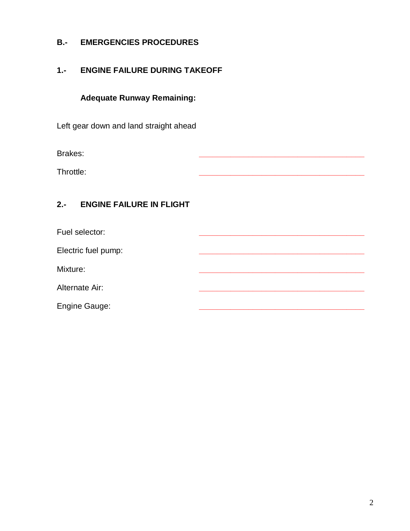## **B.- EMERGENCIES PROCEDURES**

## **1.- ENGINE FAILURE DURING TAKEOFF**

**Adequate Runway Remaining:**

Left gear down and land straight ahead

Brakes: **\_\_\_\_\_\_\_\_\_\_\_\_\_\_\_\_\_\_\_\_\_\_\_\_\_\_\_\_\_\_\_\_\_\_\_\_\_**

Throttle: **\_\_\_\_\_\_\_\_\_\_\_\_\_\_\_\_\_\_\_\_\_\_\_\_\_\_\_\_\_\_\_\_\_\_\_\_\_**

## **2.- ENGINE FAILURE IN FLIGHT**

| Fuel selector:       |  |
|----------------------|--|
| Electric fuel pump:  |  |
| Mixture:             |  |
| Alternate Air:       |  |
| <b>Engine Gauge:</b> |  |